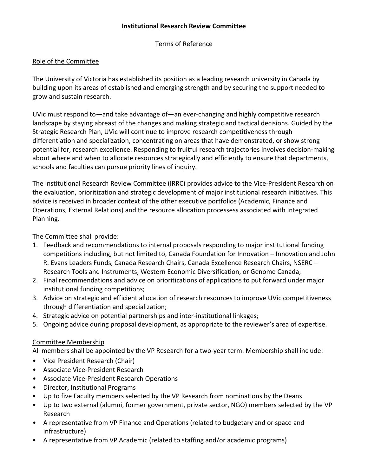## **Institutional Research Review Committee**

Terms of Reference

# Role of the Committee

The University of Victoria has established its position as a leading research university in Canada by building upon its areas of established and emerging strength and by securing the support needed to grow and sustain research.

UVic must respond to—and take advantage of—an ever-changing and highly competitive research landscape by staying abreast of the changes and making strategic and tactical decisions. Guided by the Strategic Research Plan, UVic will continue to improve research competitiveness through differentiation and specialization, concentrating on areas that have demonstrated, or show strong potential for, research excellence. Responding to fruitful research trajectories involves decision-making about where and when to allocate resources strategically and efficiently to ensure that departments, schools and faculties can pursue priority lines of inquiry.

The Institutional Research Review Committee (IRRC) provides advice to the Vice-President Research on the evaluation, prioritization and strategic development of major institutional research initiatives. This advice is received in broader context of the other executive portfolios (Academic, Finance and Operations, External Relations) and the resource allocation processess associated with Integrated Planning.

The Committee shall provide:

- 1. Feedback and recommendations to internal proposals responding to major institutional funding competitions including, but not limited to, Canada Foundation for Innovation – Innovation and John R. Evans Leaders Funds, Canada Research Chairs, Canada Excellence Research Chairs, NSERC – Research Tools and Instruments, Western Economic Diversification, or Genome Canada;
- 2. Final recommendations and advice on prioritizations of applications to put forward under major institutional funding competitions;
- 3. Advice on strategic and efficient allocation of research resources to improve UVic competitiveness through differentiation and specialization;
- 4. Strategic advice on potential partnerships and inter-institutional linkages;
- 5. Ongoing advice during proposal development, as appropriate to the reviewer's area of expertise.

# Committee Membership

All members shall be appointed by the VP Research for a two-year term. Membership shall include:

- Vice President Research (Chair)
- Associate Vice-President Research
- Associate Vice-President Research Operations
- Director, Institutional Programs
- Up to five Faculty members selected by the VP Research from nominations by the Deans
- Up to two external (alumni, former government, private sector, NGO) members selected by the VP Research
- A representative from VP Finance and Operations (related to budgetary and or space and infrastructure)
- A representative from VP Academic (related to staffing and/or academic programs)